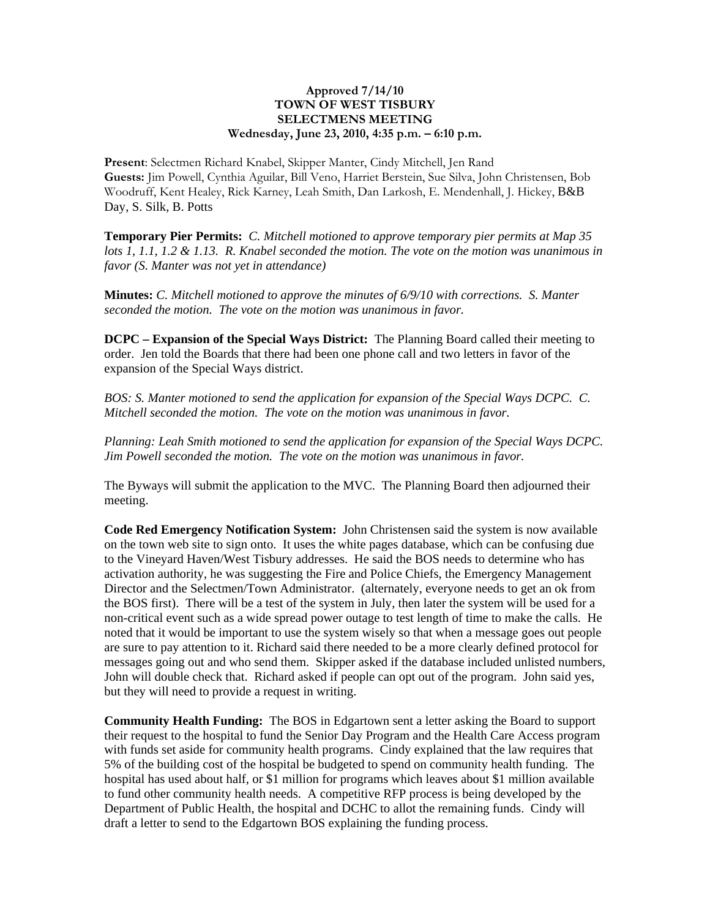## **Approved 7/14/10 TOWN OF WEST TISBURY SELECTMENS MEETING Wednesday, June 23, 2010, 4:35 p.m. – 6:10 p.m.**

**Present**: Selectmen Richard Knabel, Skipper Manter, Cindy Mitchell, Jen Rand **Guests:** Jim Powell, Cynthia Aguilar, Bill Veno, Harriet Berstein, Sue Silva, John Christensen, Bob Woodruff, Kent Healey, Rick Karney, Leah Smith, Dan Larkosh, E. Mendenhall, J. Hickey, B&B Day, S. Silk, B. Potts

**Temporary Pier Permits:** *C. Mitchell motioned to approve temporary pier permits at Map 35 lots 1, 1.1, 1.2 & 1.13. R. Knabel seconded the motion. The vote on the motion was unanimous in favor (S. Manter was not yet in attendance)*

**Minutes:** *C. Mitchell motioned to approve the minutes of 6/9/10 with corrections. S. Manter seconded the motion. The vote on the motion was unanimous in favor.*

**DCPC – Expansion of the Special Ways District:** The Planning Board called their meeting to order. Jen told the Boards that there had been one phone call and two letters in favor of the expansion of the Special Ways district.

*BOS: S. Manter motioned to send the application for expansion of the Special Ways DCPC. C. Mitchell seconded the motion. The vote on the motion was unanimous in favor.* 

*Planning: Leah Smith motioned to send the application for expansion of the Special Ways DCPC. Jim Powell seconded the motion. The vote on the motion was unanimous in favor.* 

The Byways will submit the application to the MVC. The Planning Board then adjourned their meeting.

**Code Red Emergency Notification System:** John Christensen said the system is now available on the town web site to sign onto. It uses the white pages database, which can be confusing due to the Vineyard Haven/West Tisbury addresses. He said the BOS needs to determine who has activation authority, he was suggesting the Fire and Police Chiefs, the Emergency Management Director and the Selectmen/Town Administrator. (alternately, everyone needs to get an ok from the BOS first). There will be a test of the system in July, then later the system will be used for a non-critical event such as a wide spread power outage to test length of time to make the calls. He noted that it would be important to use the system wisely so that when a message goes out people are sure to pay attention to it. Richard said there needed to be a more clearly defined protocol for messages going out and who send them. Skipper asked if the database included unlisted numbers, John will double check that. Richard asked if people can opt out of the program. John said yes, but they will need to provide a request in writing.

**Community Health Funding:** The BOS in Edgartown sent a letter asking the Board to support their request to the hospital to fund the Senior Day Program and the Health Care Access program with funds set aside for community health programs. Cindy explained that the law requires that 5% of the building cost of the hospital be budgeted to spend on community health funding. The hospital has used about half, or \$1 million for programs which leaves about \$1 million available to fund other community health needs. A competitive RFP process is being developed by the Department of Public Health, the hospital and DCHC to allot the remaining funds. Cindy will draft a letter to send to the Edgartown BOS explaining the funding process.